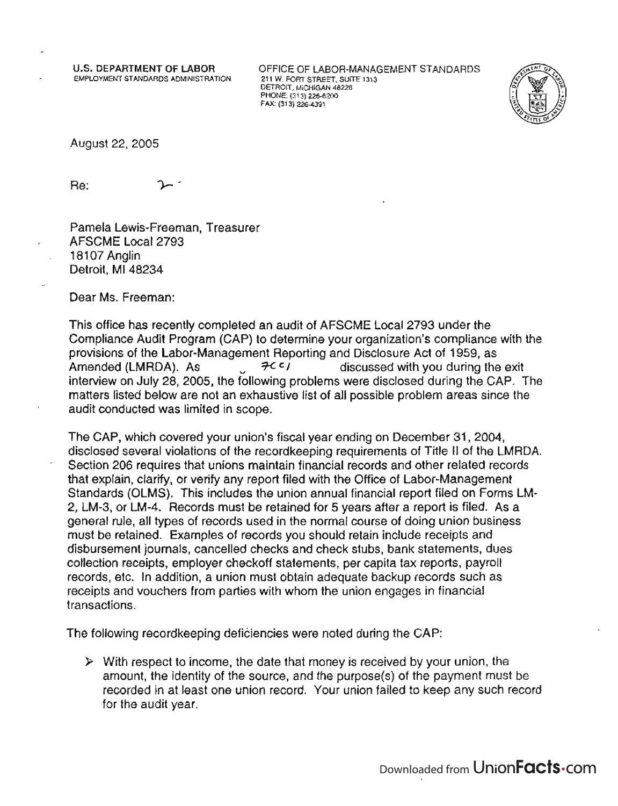u.s. DEPARTMENT OF LABOR EMPLOYMENT STANDARDS ADMINISTRATION OFFICE OF LABOR-MANAGEMENT STANDARDS 211 W. FORT STREET, SUITE 1313 DETROIT, MICHIGAN 48226 PHONE: (313) 226-6200 FAX: (313) 226-4391



August22,2005

Re:

Pamela Lewis-Freeman, Treasurer AFSCME Local 2793 18107 Anglin Detroit, MI 48234

Dear Ms. Freeman:

This office has recently completed an audit of AFSCME Local 2793 under the Compliance Audit Program (CAP) to determine your organization's compliance with the provisions of the Labor-Management Reporting and Disclosure Act of 1959, as Amended (LMRDA). As  $\mathcal{H}^{c}$  / discussed with you during the exit interview on July 28, 2005, the following problems were disclosed during the CAP. The matters listed below are not an exhaustive list of all possible problem areas since the audit conducted was limited in scope.

The CAP, which covered your union's fiscal year ending on December 31,2004, disclosed several violations of the recordkeeping requirements of Title II of the LMRDA. Section 206 requires that unions maintain financial records and other related records that explain, clarify, or verify any report filed with the Office of Labor-Management Standards (OLMS). This includes the union annual financial report filed on Forms LM-2, LM-3, or LM-4. Records must be retained for 5 years after a report is filed. As a general rule, all types of records used in the normal course of doing union business must be retained. Examples of records you should retain include receipts and disbursement journals, cancelled checks and check stubs, bank statements, dues collection receipts, employer checkoff statements, per capita tax reports, payroll records, etc. In addition, a union must obtain adequate backup records such as receipts and vouchers from parties with whom the union engages in financial transactions.

The following recordkeeping deficiencies were noted during the CAP:

 $\triangleright$  With respect to income, the date that money is received by your union, the amount, the identity of the source, and the purpose(s) of the payment must be recorded in at least one union record. Your union failed to keep any such record for the audit year.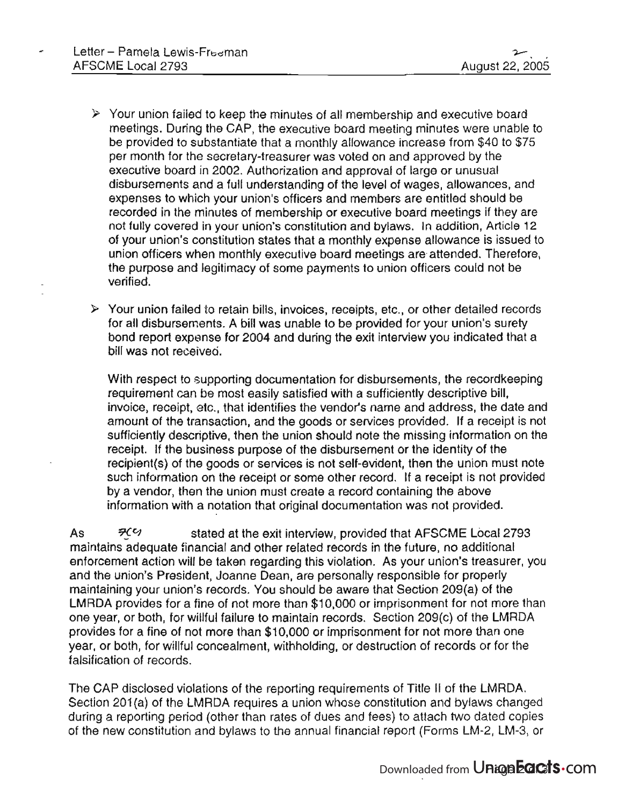- $\geq$  Your union failed to keep the minutes of all membership and executive board meetings. During the CAP, the executive board meeting minutes were unable to be provided to substantiate that a monthly allowance increase from \$40 to \$75 per month for the secretary-treasurer was voted on and approved by the executive board in 2002. Authorization and approval of large or unusual disbursements and a full understanding of the level of wages, allowances, and expenses to which your union's officers and members are entitled should be recorded in the minutes of membership or executive board meetings if they are not fully covered in your union's constitution and bylaws. In addition, Article 12 of your union's constitution states that a monthly expense allowance is issued to union officers when monthly executive board meetings are-attended. Therefore, the purpose and legitimacy of some payments to union officers could not be verified.
- $\triangleright$  Your union failed to retain bills, invoices, receipts, etc., or other detailed records for all disbursements. A bill was unable to be provided for your union's surety bond report expense for 2004 and during the exit interview you indicated that a bill was not received.

With respect to supporting documentation for disbursements, the recordkeeping requirement can be most easily satisfied with a sufficiently descriptive bill, invoice, receipt, etc., that identifies the vendor's name and address, the date and amount of the transaction, and the goods or services provided. If a receipt is not sufficiently descriptive, then the union should note the missing information on the receipt. If the business purpose of the disbursement or the identity of the recipient(s) of the goods or services is not self-evident, then the union must note such information on the receipt or some other record. If a receipt is not provided by a vendor, then the union must create a record containing the above information with a notation that original documentation was not provided.

As  $\frac{7}{5}$   $\frac{7}{5}$  stated at the exit interview, provided that AFSCME Local 2793 maintains adequate financial and other related records in the future, no additional enforcement action will be taken regarding this violation. As your union's treasurer, you and the union's President, Joanne Dean, are personally responsible for properly maintaining your union's records. You should be aware that Section 209(a) of the LMRDA provides for a fine of not more than \$10,000 or imprisonment for not more than one year, or both, for willful failure to maintain records. Section 209(c) of the LMRDA provides for a fine of not more than \$10,000 or imprisonment for not more than one year, or both, for willful concealment, withholding, or destruction of records or for the falsification of records.

The CAP disclosed violations of the reporting requirements of Title II of the LMRDA. Section 201(a) of the LMRDA requires a union whose constitution and bylaws changed during a reporting period (other than rates of dues and fees) to attach two dated copies of the new constitution and bylaws to the annual financial report (Forms LM-2, LM-3, or